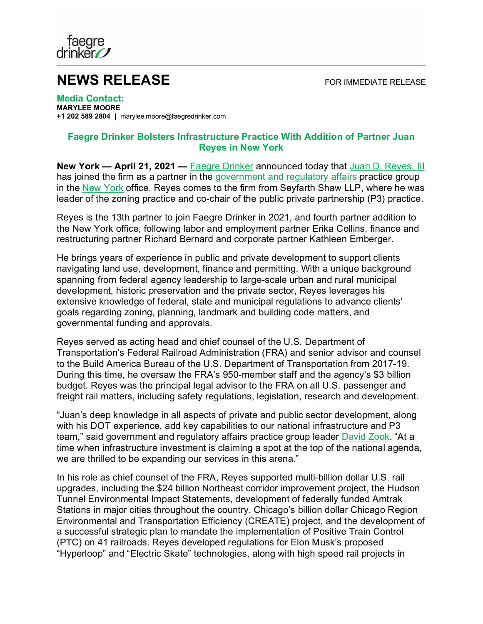

## **NEWS RELEASE** FOR IMMEDIATE RELEASE

**Media Contact: MARYLEE MOORE +1 202 589 2804 |** marylee.moore@faegredrinker.com

## **Faegre Drinker Bolsters Infrastructure Practice With Addition of Partner Juan Reyes in New York**

**New York — April 21, 2021 —** [Faegre Drinker](https://www.faegredrinker.com/) announced today that [Juan D. Reyes, III](https://www.faegredrinker.com/en/professionals/r/reyes-juan-d#!) has joined the firm as a partner in the [government and regulatory affairs](https://www.faegredrinker.com/en/services/services/government--regulatory-affairs#!) practice group in the [New York](https://www.faegredrinker.com/en/locations/new-york#!) office. Reyes comes to the firm from Seyfarth Shaw LLP, where he was leader of the zoning practice and co-chair of the public private partnership (P3) practice.

Reyes is the 13th partner to join Faegre Drinker in 2021, and fourth partner addition to the New York office, following labor and employment partner Erika Collins, finance and restructuring partner Richard Bernard and corporate partner Kathleen Emberger.

He brings years of experience in public and private development to support clients navigating land use, development, finance and permitting. With a unique background spanning from federal agency leadership to large-scale urban and rural municipal development, historic preservation and the private sector, Reyes leverages his extensive knowledge of federal, state and municipal regulations to advance clients' goals regarding zoning, planning, landmark and building code matters, and governmental funding and approvals.

Reyes served as acting head and chief counsel of the U.S. Department of Transportation's Federal Railroad Administration (FRA) and senior advisor and counsel to the Build America Bureau of the U.S. Department of Transportation from 2017-19. During this time, he oversaw the FRA's 950-member staff and the agency's \$3 billion budget. Reyes was the principal legal advisor to the FRA on all U.S. passenger and freight rail matters, including safety regulations, legislation, research and development.

"Juan's deep knowledge in all aspects of private and public sector development, along with his DOT experience, add key capabilities to our national infrastructure and P3 team," said government and regulatory affairs practice group leader **David Zook**. "At a time when infrastructure investment is claiming a spot at the top of the national agenda, we are thrilled to be expanding our services in this arena."

In his role as chief counsel of the FRA, Reyes supported multi-billion dollar U.S. rail upgrades, including the \$24 billion Northeast corridor improvement project, the Hudson Tunnel Environmental Impact Statements, development of federally funded Amtrak Stations in major cities throughout the country, Chicago's billion dollar Chicago Region Environmental and Transportation Efficiency (CREATE) project, and the development of a successful strategic plan to mandate the implementation of Positive Train Control (PTC) on 41 railroads. Reyes developed regulations for Elon Musk's proposed "Hyperloop" and "Electric Skate" technologies, along with high speed rail projects in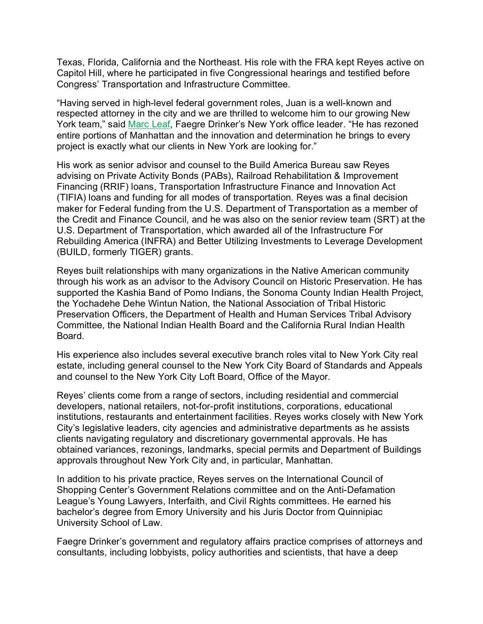Texas, Florida, California and the Northeast. His role with the FRA kept Reyes active on Capitol Hill, where he participated in five Congressional hearings and testified before Congress' Transportation and Infrastructure Committee.

"Having served in high-level federal government roles, Juan is a well-known and respected attorney in the city and we are thrilled to welcome him to our growing New York team," said [Marc Leaf,](https://www.faegredrinker.com/en/professionals/l/leaf-marc-a#!) Faegre Drinker's New York office leader. "He has rezoned entire portions of Manhattan and the innovation and determination he brings to every project is exactly what our clients in New York are looking for."

His work as senior advisor and counsel to the Build America Bureau saw Reyes advising on Private Activity Bonds (PABs), Railroad Rehabilitation & Improvement Financing (RRIF) loans, Transportation Infrastructure Finance and Innovation Act (TIFIA) loans and funding for all modes of transportation. Reyes was a final decision maker for Federal funding from the U.S. Department of Transportation as a member of the Credit and Finance Council, and he was also on the senior review team (SRT) at the U.S. Department of Transportation, which awarded all of the Infrastructure For Rebuilding America (INFRA) and Better Utilizing Investments to Leverage Development (BUILD, formerly TIGER) grants.

Reyes built relationships with many organizations in the Native American community through his work as an advisor to the Advisory Council on Historic Preservation. He has supported the Kashia Band of Pomo Indians, the Sonoma County Indian Health Project, the Yochadehe Dehe Wintun Nation, the National Association of Tribal Historic Preservation Officers, the Department of Health and Human Services Tribal Advisory Committee, the National Indian Health Board and the California Rural Indian Health Board.

His experience also includes several executive branch roles vital to New York City real estate, including general counsel to the New York City Board of Standards and Appeals and counsel to the New York City Loft Board, Office of the Mayor.

Reyes' clients come from a range of sectors, including residential and commercial developers, national retailers, not-for-profit institutions, corporations, educational institutions, restaurants and entertainment facilities. Reyes works closely with New York City's legislative leaders, city agencies and administrative departments as he assists clients navigating regulatory and discretionary governmental approvals. He has obtained variances, rezonings, landmarks, special permits and Department of Buildings approvals throughout New York City and, in particular, Manhattan.

In addition to his private practice, Reyes serves on the International Council of Shopping Center's Government Relations committee and on the Anti-Defamation League's Young Lawyers, Interfaith, and Civil Rights committees. He earned his bachelor's degree from Emory University and his Juris Doctor from Quinnipiac University School of Law.

Faegre Drinker's government and regulatory affairs practice comprises of attorneys and consultants, including lobbyists, policy authorities and scientists, that have a deep